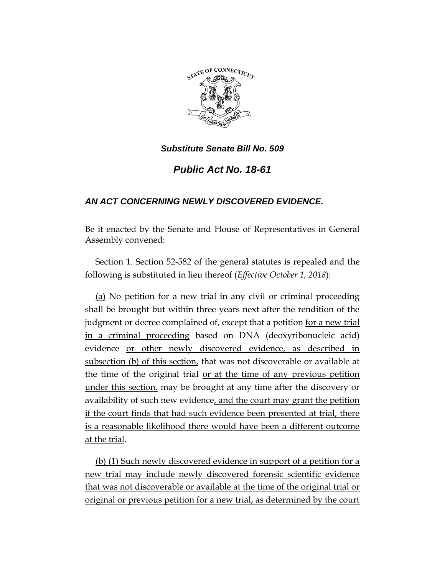

## *Substitute Senate Bill No. 509*

## *Public Act No. 18-61*

## *AN ACT CONCERNING NEWLY DISCOVERED EVIDENCE.*

Be it enacted by the Senate and House of Representatives in General Assembly convened:

Section 1. Section 52-582 of the general statutes is repealed and the following is substituted in lieu thereof (*Effective October 1, 2018*):

(a) No petition for a new trial in any civil or criminal proceeding shall be brought but within three years next after the rendition of the judgment or decree complained of, except that a petition <u>for a new trial</u> in a criminal proceeding based on DNA (deoxyribonucleic acid) evidence or other newly discovered evidence, as described in subsection (b) of this section, that was not discoverable or available at the time of the original trial or at the time of any previous petition under this section, may be brought at any time after the discovery or availability of such new evidence, and the court may grant the petition if the court finds that had such evidence been presented at trial, there is a reasonable likelihood there would have been a different outcome at the trial.

(b) (1) Such newly discovered evidence in support of a petition for a new trial may include newly discovered forensic scientific evidence that was not discoverable or available at the time of the original trial or original or previous petition for a new trial, as determined by the court